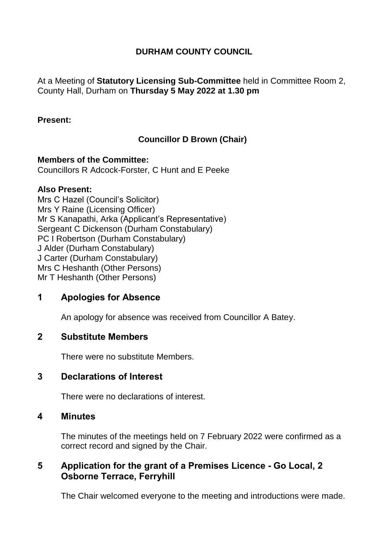### **DURHAM COUNTY COUNCIL**

At a Meeting of **Statutory Licensing Sub-Committee** held in Committee Room 2, County Hall, Durham on **Thursday 5 May 2022 at 1.30 pm**

#### **Present:**

# **Councillor D Brown (Chair)**

**Members of the Committee:** Councillors R Adcock-Forster, C Hunt and E Peeke

### **Also Present:**

Mrs C Hazel (Council's Solicitor) Mrs Y Raine (Licensing Officer) Mr S Kanapathi, Arka (Applicant's Representative) Sergeant C Dickenson (Durham Constabulary) PC I Robertson (Durham Constabulary) J Alder (Durham Constabulary) J Carter (Durham Constabulary) Mrs C Heshanth (Other Persons) Mr T Heshanth (Other Persons)

# **1 Apologies for Absence**

An apology for absence was received from Councillor A Batey.

### **2 Substitute Members**

There were no substitute Members.

# **3 Declarations of Interest**

There were no declarations of interest.

### **4 Minutes**

The minutes of the meetings held on 7 February 2022 were confirmed as a correct record and signed by the Chair.

# **5 Application for the grant of a Premises Licence - Go Local, 2 Osborne Terrace, Ferryhill**

The Chair welcomed everyone to the meeting and introductions were made.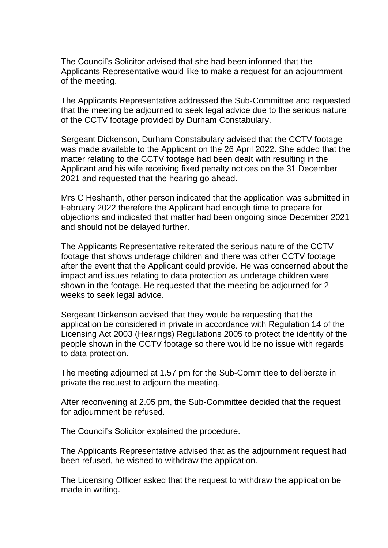The Council's Solicitor advised that she had been informed that the Applicants Representative would like to make a request for an adjournment of the meeting.

The Applicants Representative addressed the Sub-Committee and requested that the meeting be adjourned to seek legal advice due to the serious nature of the CCTV footage provided by Durham Constabulary.

Sergeant Dickenson, Durham Constabulary advised that the CCTV footage was made available to the Applicant on the 26 April 2022. She added that the matter relating to the CCTV footage had been dealt with resulting in the Applicant and his wife receiving fixed penalty notices on the 31 December 2021 and requested that the hearing go ahead.

Mrs C Heshanth, other person indicated that the application was submitted in February 2022 therefore the Applicant had enough time to prepare for objections and indicated that matter had been ongoing since December 2021 and should not be delayed further.

The Applicants Representative reiterated the serious nature of the CCTV footage that shows underage children and there was other CCTV footage after the event that the Applicant could provide. He was concerned about the impact and issues relating to data protection as underage children were shown in the footage. He requested that the meeting be adjourned for 2 weeks to seek legal advice.

Sergeant Dickenson advised that they would be requesting that the application be considered in private in accordance with Regulation 14 of the Licensing Act 2003 (Hearings) Regulations 2005 to protect the identity of the people shown in the CCTV footage so there would be no issue with regards to data protection.

The meeting adjourned at 1.57 pm for the Sub-Committee to deliberate in private the request to adjourn the meeting.

After reconvening at 2.05 pm, the Sub-Committee decided that the request for adjournment be refused.

The Council's Solicitor explained the procedure.

The Applicants Representative advised that as the adjournment request had been refused, he wished to withdraw the application.

The Licensing Officer asked that the request to withdraw the application be made in writing.